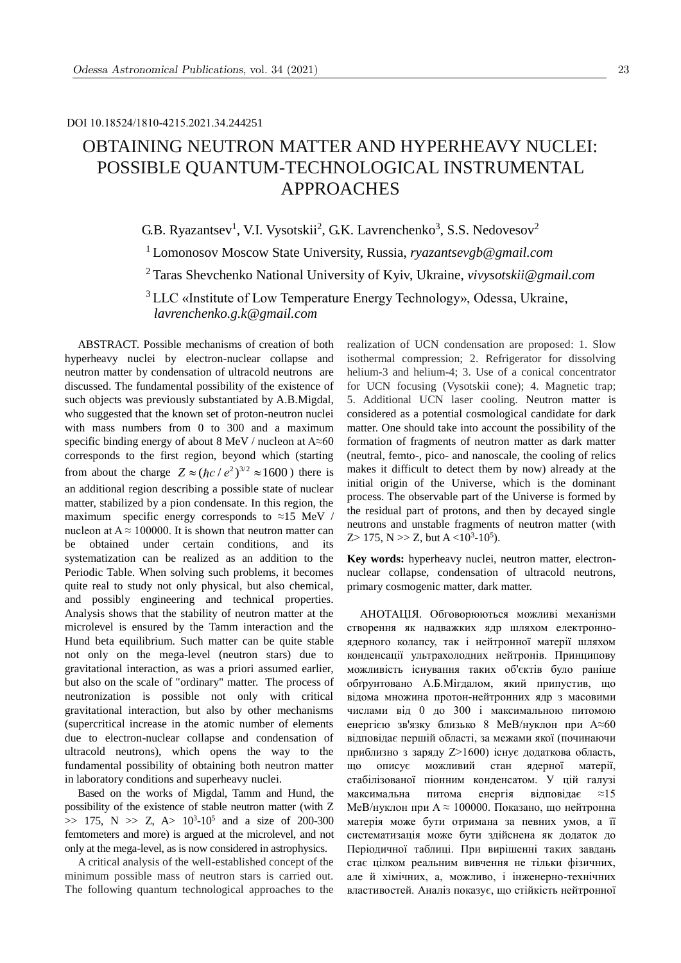# OBTAINING NEUTRON MATTER AND HYPERHEAVY NUCLEI: POSSIBLE QUANTUM-TECHNOLOGICAL INSTRUMENTAL APPROACHES

G.B. Ryazantsev<sup>1</sup>, V.I. Vysotskii<sup>2</sup>, G.K. Lavrenchenko<sup>3</sup>, S.S. Nedovesov<sup>2</sup>

<sup>1</sup> Lomonosov Moscow State University, Russia, *ryazantsevgb@gmail.com*

<sup>2</sup>Taras Shevchenko National University of Kyiv, Ukraine, *vivysotskii@gmail.com*

<sup>3</sup> [LLC «Institute of Low Temper](mailto:lavrenchenko.g.k@gmail.com)ature Energy Technology», Odessa, Ukraine, *lavrenchenko.g.k@gmail.com*

ABSTRACT. Possible mechanisms of creation of both hyperheavy nuclei by electron-nuclear collapse and neutron matter by condensation of ultracold neutrons are discussed. The fundamental possibility of the existence of such objects was previously substantiated by A.B.Migdal, who suggested that the known set of proton-neutron nuclei with mass numbers from 0 to 300 and a maximum specific binding energy of about 8 MeV / nucleon at A≈60 corresponds to the first region, beyond which (starting from about the charge  $Z \approx (\hbar c / e^2)^{3/2} \approx 1600$  *c* there is an additional region describing a possible state of nuclear matter, stabilized by a pion condensate. In this region, the maximum specific energy corresponds to  $\approx$ 15 MeV / nucleon at  $A \approx 100000$ . It is shown that neutron matter can be obtained under certain conditions and its systematization can be realized as an addition to the Periodic Table. When solving such problems, it becomes quite real to study not only physical, but also chemical, and possibly engineering and technical properties. Analysis shows that the stability of neutron matter at the microlevel is ensured by the Tamm interaction and the Hund beta equilibrium. Such matter can be quite stable not only on the mega-level (neutron stars) due to gravitational interaction, as was a priori assumed earlier, but also on the scale of "ordinary" matter. The process of neutronization is possible not only with critical gravitational interaction, but also by other mechanisms (supercritical increase in the atomic number of elements due to electron-nuclear collapse and condensation of ultracold neutrons), which opens the way to the fundamental possibility of obtaining both neutron matter in laboratory conditions and superheavy nuclei.

Based on the works of Migdal, Tamm and Hund, the possibility of the existence of stable neutron matter (with Z  $\gg$  175, N  $\gg$  Z, A $> 10^3$ -10<sup>5</sup> and a size of 200-300 femtometers and more) is argued at the microlevel, and not only at the mega-level, as is now considered in astrophysics.

A critical analysis of the well-established concept of the minimum possible mass of neutron stars is carried out. The following quantum technological approaches to the

realization of UCN condensation are proposed: 1. Slow isothermal compression; 2. Refrigerator for dissolving helium-3 and helium-4; 3. Use of a conical concentrator for UCN focusing (Vysotskii cone); 4. Magnetic trap; 5. Additional UCN laser cooling. Neutron matter is considered as a potential cosmological candidate for dark matter. One should take into account the possibility of the formation of fragments of neutron matter as dark matter (neutral, femto-, pico- and nanoscale, the cooling of relics makes it difficult to detect them by now) already at the initial origin of the Universe, which is the dominant process. The observable part of the Universe is formed by the residual part of protons, and then by decayed single neutrons and unstable fragments of neutron matter (with Z> 175, N >> Z, but  $A < 10^3-10^5$ ).

**Key words:** hyperheavy nuclei, neutron matter, electronnuclear collapse, condensation of ultracold neutrons, primary cosmogenic matter, dark matter.

АНОТАЦІЯ. Обговорюються можливі механізми створення як надважких ядр шляхом електронноядерного колапсу, так і нейтронної матерії шляхом конденсації ультрахолодних нейтронів. Принципову можливість існування таких об'єктів було раніше обґрунтовано А.Б.Мігдалом, який припустив, що відома множина протон-нейтронних ядр з масовими числами від 0 до 300 і максимальною питомою енергією зв'язку близько 8 МеВ/нуклон при A≈60 відповідає першій області, за межами якої (починаючи приблизно з заряду Z>1600) існує додаткова область, що описує можливий стан ядерної матерії, стабілізованої піонним конденсатом. У цій галузі максимальна питома енергія відповідає ≈15 МеВ/нуклон при A ≈ 100000. Показано, що нейтронна матерія може бути отримана за певних умов, а її систематизація може бути здійснена як додаток до Періодичної таблиці. При вирішенні таких завдань стає цілком реальним вивчення не тільки фізичних, але й хімічних, а, можливо, і інженерно-технічних властивостей. Аналіз показує, що стійкість нейтронної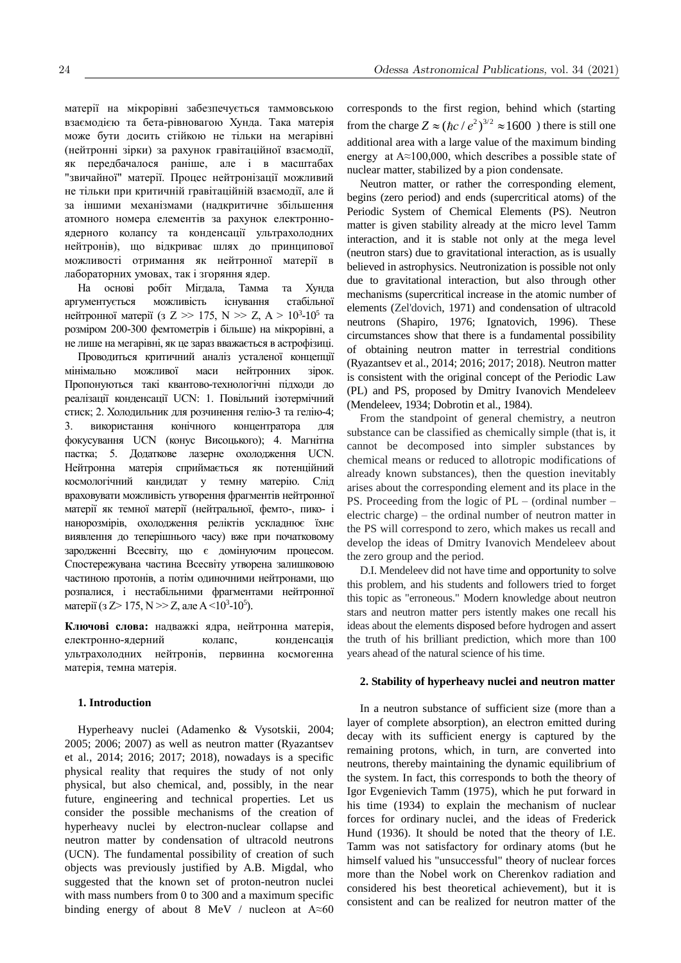матерії на мікрорівні забезпечується таммовською взаємодією та бета-рівновагою Хунда. Така матерія може бути досить стійкою не тільки на мегарівні (нейтронні зірки) за рахунок гравітаційної взаємодії, як передбачалося раніше, але і в масштабах "звичайної" матерії. Процес нейтронізації можливий не тільки при критичній гравітаційній взаємодії, але й за іншими механізмами (надкритичне збільшення атомного номера елементів за рахунок електронноядерного колапсу та конденсації ультрахолодних нейтронів), що відкриває шлях до принципової можливості отримання як нейтронної матерії в лабораторних умовах, так і згоряння ядер.

На основі робіт Мігдала, Тамма та Хунда аргументується можливість існування стабільної нейтронної матерії (з Z >> 175, N >> Z, A >  $10^3$ -10<sup>5</sup> та розміром 200-300 фемтометрів і більше) на мікрорівні, а не лише на мегарівні, як це зараз вважається в астрофізиці.

Проводиться критичний аналіз усталеної концепції мінімально можливої маси нейтронних зірок. Пропонуються такі квантово-технологічні підходи до реалізації конденсації UCN: 1. Повільний ізотермічний стиск; 2. Холодильник для розчинення гелію-3 та гелію-4; 3. використання конічного концентратора для фокусування UCN (конус Висоцького); 4. Магнітна пастка; 5. Додаткове лазерне охолодження UCN. Нейтронна матерія сприймається як потенційний космологічний кандидат у темну матерію. Слід враховувати можливість утворення фрагментів нейтронної матерії як темної матерії (нейтральної, фемто-, пико- і нанорозмірів, охолодження реліктів ускладнює їхнє виявлення до теперішнього часу) вже при початковому зародженні Всесвіту, що є домінуючим процесом. Спостережувана частина Всесвіту утворена залишковою частиною протонів, а потім одиночними нейтронами, що розпалися, і нестабільними фрагментами нейтронної матерії (з Z> 175, N >> Z, але A <10<sup>3</sup>-10<sup>5</sup>).

**Ключові слова:** надважкі ядра, нейтронна матерія, електронно-ядерний колапс, конденсація ультрахолодних нейтронів, первинна космогенна матерія, темна матерія.

## **1. Introduction**

Hyperheavy nuclei (Adamenko & Vysotskii, 2004; 2005; 2006; 2007) as well as neutron matter (Ryazantsev et al., 2014; 2016; 2017; 2018), nowadays is a specific physical reality that requires the study of not only physical, but also chemical, and, possibly, in the near future, engineering and technical properties. Let us consider the possible mechanisms of the creation of hyperheavy nuclei by electron-nuclear collapse and neutron matter by condensation of ultracold neutrons (UCN). The fundamental possibility of creation of such objects was previously justified by A.B. Migdal, who suggested that the known set of proton-neutron nuclei with mass numbers from 0 to 300 and a maximum specific binding energy of about 8 MeV / nucleon at  $A \approx 60$  corresponds to the first region, behind which (starting from the charge  $Z \approx (\hbar c / e^2)^{3/2} \approx 1600$  ) there is still one additional area with a large value of the maximum binding energy at  $A \approx 100,000$ , which describes a possible state of nuclear matter, stabilized by a pion condensate.

Neutron matter, or rather the corresponding element, begins (zero period) and ends (supercritical atoms) of the Periodic System of Chemical Elements (PS). Neutron matter is given stability already at the micro level Tamm interaction, and it is stable not only at the mega level (neutron stars) due to gravitational interaction, as is usually believed in astrophysics. Neutronization is possible not only due to gravitational interaction, but also through other mechanisms (supercritical increase in the atomic number of elements (Zel'dovich, 1971) and condensation of ultracold neutrons (Shapiro, 1976; Ignatovich, 1996). These circumstances show that there is a fundamental possibility of obtaining neutron matter in terrestrial conditions (Ryazantsev et al., 2014; 2016; 2017; 2018). Neutron matter is consistent with the original concept of the Periodic Law (PL) and PS, proposed by Dmitry Ivanovich Mendeleev (Mendeleev, 1934; Dobrotin et al., 1984).

From the standpoint of general chemistry, a neutron substance can be classified as chemically simple (that is, it cannot be decomposed into simpler substances by chemical means or reduced to allotropic modifications of already known substances), then the question inevitably arises about the corresponding element and its place in the PS. Proceeding from the logic of  $PL -$  (ordinal number – electric charge) – the ordinal number of neutron matter in the PS will correspond to zero, which makes us recall and develop the ideas of Dmitry Ivanovich Mendeleev about the zero group and the period.

D.I. Mendeleev did not have time and opportunity to solve this problem, and his students and followers tried to forget this topic as "erroneous." Modern knowledge about neutron stars and neutron matter pers istently makes one recall his ideas about the elements disposed before hydrogen and assert the truth of his brilliant prediction, which more than 100 years ahead of the natural science of his time.

## **2. Stability of hyperheavy nuclei and neutron matter**

In a neutron substance of sufficient size (more than a layer of complete absorption), an electron emitted during decay with its sufficient energy is captured by the remaining protons, which, in turn, are converted into neutrons, thereby maintaining the dynamic equilibrium of the system. In fact, this corresponds to both the theory of Igor Evgenievich Tamm (1975), which he put forward in his time (1934) to explain the mechanism of nuclear forces for ordinary nuclei, and the ideas of Frederick Hund (1936). It should be noted that the theory of I.E. Tamm was not satisfactory for ordinary atoms (but he himself valued his "unsuccessful" theory of nuclear forces more than the Nobel work on Cherenkov radiation and considered his best theoretical achievement), but it is consistent and can be realized for neutron matter of the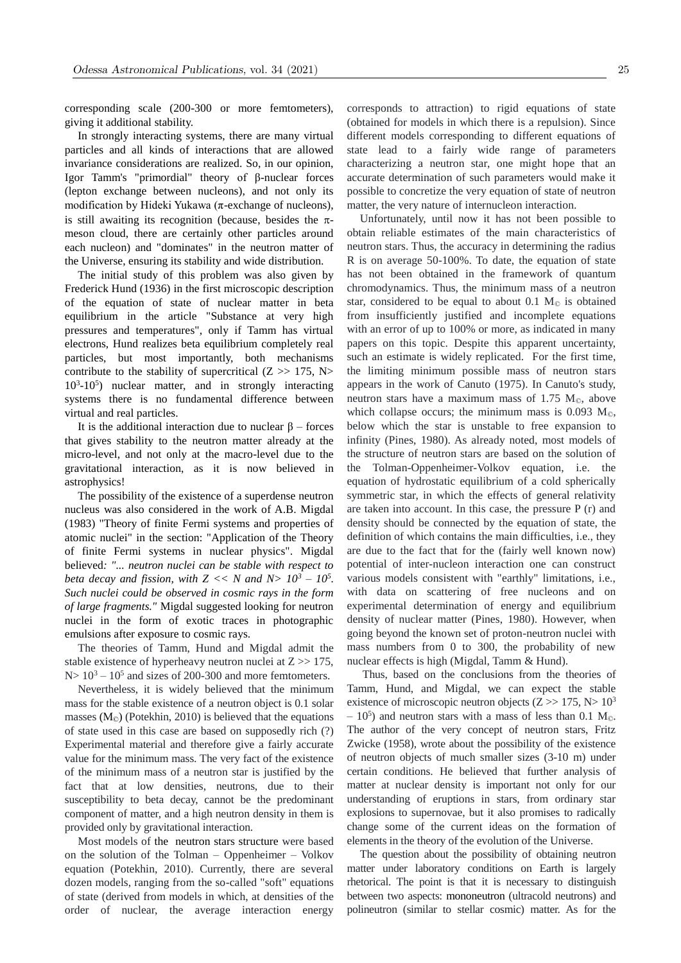corresponding scale (200-300 or more femtometers), giving it additional stability.

In strongly interacting systems, there are many virtual particles and all kinds of interactions that are allowed invariance considerations are realized. So, in our opinion, Igor Tamm's "primordial" theory of β-nuclear forces (lepton exchange between nucleons), and not only its modification by Hideki Yukawa ( $\pi$ -exchange of nucleons), is still awaiting its recognition (because, besides the  $\pi$ meson cloud, there are certainly other particles around each nucleon) and "dominates" in the neutron matter of the Universe, ensuring its stability and wide distribution.

The initial study of this problem was also given by Frederick Hund (1936) in the first microscopic description of the equation of state of nuclear matter in beta equilibrium in the article "Substance at very high pressures and temperatures", only if Tamm has virtual electrons, Hund realizes beta equilibrium completely real particles, but most importantly, both mechanisms contribute to the stability of supercritical  $(Z \gg 175, N>$ 10<sup>3</sup> -10<sup>5</sup> ) nuclear matter, and in strongly interacting systems there is no fundamental difference between virtual and real particles.

It is the additional interaction due to nuclear  $\beta$  – forces that gives stability to the neutron matter already at the micro-level, and not only at the macro-level due to the gravitational interaction, as it is now believed in astrophysics!

The possibility of the existence of a superdense neutron nucleus was also considered in the work of A.B. Migdal (1983) "Theory of finite Fermi systems and properties of atomic nuclei" in the section: "Application of the Theory of finite Fermi systems in nuclear physics". Migdal believed*: "... neutron nuclei can be stable with respect to beta decay and fission, with*  $Z \ll N$  *and*  $N > 10^3 - 10^5$ . *Such nuclei could be observed in cosmic rays in the form of large fragments."* Migdal suggested looking for neutron nuclei in the form of exotic traces in photographic emulsions after exposure to cosmic rays.

The theories of Tamm, Hund and Migdal admit the stable existence of hyperheavy neutron nuclei at  $Z \gg 175$ ,  $N> 10<sup>3</sup> - 10<sup>5</sup>$  and sizes of 200-300 and more femtometers.

Nevertheless, it is widely believed that the minimum mass for the stable existence of a neutron object is 0.1 solar masses  $(M_{\odot})$  (Potekhin, 2010) is believed that the equations of state used in this case are based on supposedly rich (?) Experimental material and therefore give a fairly accurate value for the minimum mass. The very fact of the existence of the minimum mass of a neutron star is justified by the fact that at low densities, neutrons, due to their susceptibility to beta decay, cannot be the predominant component of matter, and a high neutron density in them is provided only by gravitational interaction.

Most models of the neutron stars structure were based on the solution of the Tolman – Oppenheimer – Volkov equation (Potekhin, 2010). Currently, there are several dozen models, ranging from the so-called "soft" equations of state (derived from models in which, at densities of the order of nuclear, the average interaction energy

corresponds to attraction) to rigid equations of state (obtained for models in which there is a repulsion). Since different models corresponding to different equations of state lead to a fairly wide range of parameters characterizing a neutron star, one might hope that an accurate determination of such parameters would make it possible to concretize the very equation of state of neutron matter, the very nature of internucleon interaction.

Unfortunately, until now it has not been possible to obtain reliable estimates of the main characteristics of neutron stars. Thus, the accuracy in determining the radius R is on average 50-100%. To date, the equation of state has not been obtained in the framework of quantum chromodynamics. Thus, the minimum mass of a neutron star, considered to be equal to about 0.1  $M_{\odot}$  is obtained from insufficiently justified and incomplete equations with an error of up to 100% or more, as indicated in many papers on this topic. Despite this apparent uncertainty, such an estimate is widely replicated. For the first time, the limiting minimum possible mass of neutron stars appears in the work of Canuto (1975). In Canuto's study, neutron stars have a maximum mass of 1.75  $M_{\odot}$ , above which collapse occurs; the minimum mass is  $0.093 \text{ M}_\odot$ , below which the star is unstable to free expansion to infinity (Pines, 1980). As already noted, most models of the structure of neutron stars are based on the solution of the Tolman-Oppenheimer-Volkov equation, i.e. the equation of hydrostatic equilibrium of a cold spherically symmetric star, in which the effects of general relativity are taken into account. In this case, the pressure  $P(r)$  and density should be connected by the equation of state, the definition of which contains the main difficulties, i.e., they are due to the fact that for the (fairly well known now) potential of inter-nucleon interaction one can construct various models consistent with "earthly" limitations, i.e., with data on scattering of free nucleons and on experimental determination of energy and equilibrium density of nuclear matter (Pines, 1980). However, when going beyond the known set of proton-neutron nuclei with mass numbers from 0 to 300, the probability of new nuclear effects is high (Migdal, Tamm & Hund).

Thus, based on the conclusions from the theories of Tamm, Hund, and Migdal, we can expect the stable existence of microscopic neutron objects  $(Z \gg 175, N > 10^3$  $-10^5$ ) and neutron stars with a mass of less than 0.1 M<sub>©</sub>. The author of the very concept of neutron stars, Fritz Zwicke (1958), wrote about the possibility of the existence of neutron objects of much smaller sizes (3-10 m) under certain conditions. He believed that further analysis of matter at nuclear density is important not only for our understanding of eruptions in stars, from ordinary star explosions to supernovae, but it also promises to radically change some of the current ideas on the formation of elements in the theory of the evolution of the Universe.

The question about the possibility of obtaining neutron matter under laboratory conditions on Earth is largely rhetorical. The point is that it is necessary to distinguish between two aspects: mononeutron (ultracold neutrons) and polineutron (similar to stellar cosmic) matter. As for the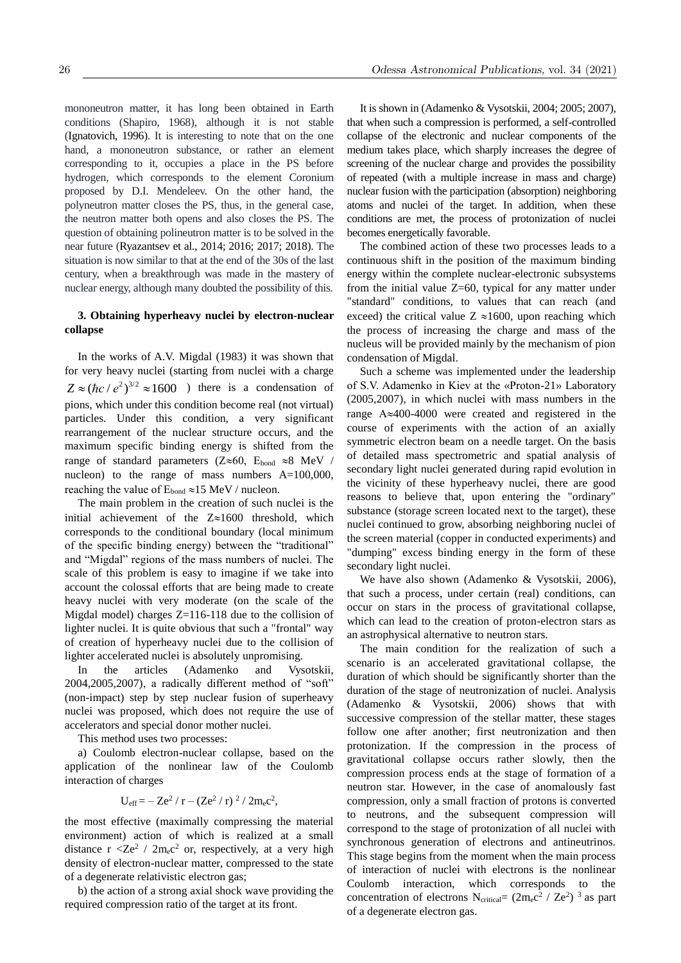mononeutron matter, it has long been obtained in Earth conditions (Shapiro, 1968), although it is not stable (Ignatovich, 1996). It is interesting to note that on the one hand, a mononeutron substance, or rather an element corresponding to it, occupies a place in the PS before hydrogen, which corresponds to the element Coronium proposed by D.I. Mendeleev. On the other hand, the polyneutron matter closes the PS, thus, in the general case, the neutron matter both opens and also closes the PS. The question of obtaining polineutron matter is to be solved in the near future (Ryazantsev et al., 2014; 2016; 2017; 2018). The situation is now similar to that at the end of the 30s of the last century, when a breakthrough was made in the mastery of nuclear energy, although many doubted the possibility of this.

## **3. Obtaining hyperheavy nuclei by electron-nuclear collapse**

In the works of A.V. Migdal (1983) it was shown that for very heavy nuclei (starting from nuclei with a charge  $Z \approx (\hbar c / e^2)^{3/2} \approx 1600$  ) there is a condensation of pions, which under this condition become real (not virtual) particles. Under this condition, a very significant rearrangement of the nuclear structure occurs, and the maximum specific binding energy is shifted from the range of standard parameters ( $Z \approx 60$ ,  $E_{bond} \approx 8$  MeV / nucleon) to the range of mass numbers A=100,000, reaching the value of  $E_{bond} \approx 15$  MeV / nucleon.

The main problem in the creation of such nuclei is the initial achievement of the  $Z \approx 1600$  threshold, which corresponds to the conditional boundary (local minimum of the specific binding energy) between the "traditional" and "Migdal" regions of the mass numbers of nuclei. The scale of this problem is easy to imagine if we take into account the colossal efforts that are being made to create heavy nuclei with very moderate (on the scale of the Migdal model) charges Z=116-118 due to the collision of lighter nuclei. It is quite obvious that such a "frontal" way of creation of hyperheavy nuclei due to the collision of lighter accelerated nuclei is absolutely unpromising.

In the articles (Adamenko and Vysotskii, 2004,2005,2007), a radically different method of "soft" (non-impact) step by step nuclear fusion of superheavy nuclei was proposed, which does not require the use of accelerators and special donor mother nuclei.

This method uses two processes:

a) Coulomb electron-nuclear collapse, based on the application of the nonlinear law of the Coulomb interaction of charges

$$
U_{eff}\!=\!-Z e^2\,/\,r-(Z e^2\,/\,r)\ ^2\,/\,2 m_e c^2,
$$

the most effective (maximally compressing the material environment) action of which is realized at a small distance  $r < Ze^2 / 2m_ec^2$  or, respectively, at a very high density of electron-nuclear matter, compressed to the state of a degenerate relativistic electron gas;

b) the action of a strong axial shock wave providing the required compression ratio of the target at its front.

It is shown in (Adamenko & Vysotskii, 2004; 2005; 2007), that when such a compression is performed, a self-controlled collapse of the electronic and nuclear components of the medium takes place, which sharply increases the degree of screening of the nuclear charge and provides the possibility of repeated (with a multiple increase in mass and charge) nuclear fusion with the participation (absorption) neighboring atoms and nuclei of the target. In addition, when these conditions are met, the process of protonization of nuclei becomes energetically favorable.

The combined action of these two processes leads to a continuous shift in the position of the maximum binding energy within the complete nuclear-electronic subsystems from the initial value  $Z=60$ , typical for any matter under "standard" conditions, to values that can reach (and exceed) the critical value  $Z \approx 1600$ , upon reaching which the process of increasing the charge and mass of the nucleus will be provided mainly by the mechanism of pion condensation of Migdal.

Such a scheme was implemented under the leadership of S.V. Adamenko in Kiev at the «Proton-21» Laboratory (2005,2007), in which nuclei with mass numbers in the range  $A \approx 400-4000$  were created and registered in the course of experiments with the action of an axially symmetric electron beam on a needle target. On the basis of detailed mass spectrometric and spatial analysis of secondary light nuclei generated during rapid evolution in the vicinity of these hyperheavy nuclei, there are good reasons to believe that, upon entering the "ordinary" substance (storage screen located next to the target), these nuclei continued to grow, absorbing neighboring nuclei of the screen material (copper in conducted experiments) and "dumping" excess binding energy in the form of these secondary light nuclei.

We have also shown (Adamenko & Vysotskii, 2006), that such a process, under certain (real) conditions, can occur on stars in the process of gravitational collapse, which can lead to the creation of proton-electron stars as an astrophysical alternative to neutron stars.

The main condition for the realization of such a scenario is an accelerated gravitational collapse, the duration of which should be significantly shorter than the duration of the stage of neutronization of nuclei. Analysis (Adamenko & Vysotskii, 2006) shows that with successive compression of the stellar matter, these stages follow one after another; first neutronization and then protonization. If the compression in the process of gravitational collapse occurs rather slowly, then the compression process ends at the stage of formation of a neutron star. However, in the case of anomalously fast compression, only a small fraction of protons is converted to neutrons, and the subsequent compression will correspond to the stage of protonization of all nuclei with synchronous generation of electrons and antineutrinos. This stage begins from the moment when the main process of interaction of nuclei with electrons is the nonlinear Coulomb interaction, which corresponds to the concentration of electrons N<sub>critical</sub> =  $(2m_ec^2 / Ze^2)^{-3}$  as part of a degenerate electron gas.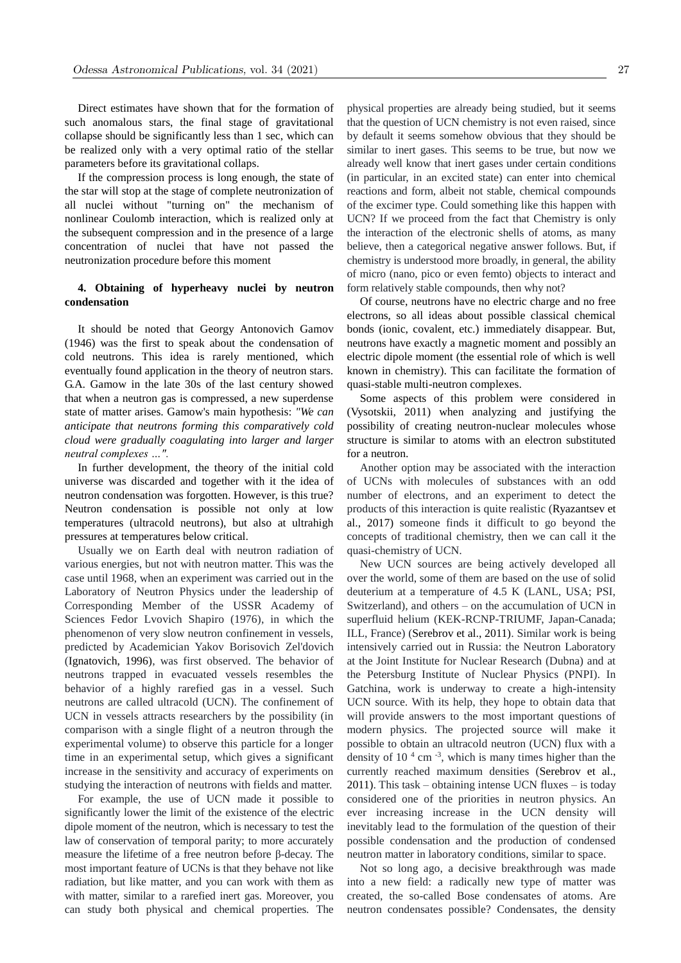Direct estimates have shown that for the formation of such anomalous stars, the final stage of gravitational collapse should be significantly less than 1 sec, which can be realized only with a very optimal ratio of the stellar parameters before its gravitational collaps.

If the compression process is long enough, the state of the star will stop at the stage of complete neutronization of all nuclei without "turning on" the mechanism of nonlinear Coulomb interaction, which is realized only at the subsequent compression and in the presence of a large concentration of nuclei that have not passed the neutronization procedure before this moment

# **4. Obtaining of hyperheavy nuclei by neutron condensation**

It should be noted that Georgy Antonovich Gamov (1946) was the first to speak about the condensation of cold neutrons. This idea is rarely mentioned, which eventually found application in the theory of neutron stars. G.A. Gamow in the late 30s of the last century showed that when a neutron gas is compressed, a new superdense state of matter arises. Gamow's main hypothesis: *"We can anticipate that neutrons forming this comparatively cold cloud were gradually coagulating into larger and larger neutral complexes …".*

In further development, the theory of the initial cold universe was discarded and together with it the idea of neutron condensation was forgotten. However, is this true? Neutron condensation is possible not only at low temperatures (ultracold neutrons), but also at ultrahigh pressures at temperatures below critical.

Usually we on Earth deal with neutron radiation of various energies, but not with neutron matter. This was the case until 1968, when an experiment was carried out in the Laboratory of Neutron Physics under the leadership of Corresponding Member of the USSR Academy of Sciences Fedor Lvovich Shapiro (1976), in which the phenomenon of very slow neutron confinement in vessels, predicted by Academician Yakov Borisovich Zel'dovich (Ignatovich, 1996), was first observed. The behavior of neutrons trapped in evacuated vessels resembles the behavior of a highly rarefied gas in a vessel. Such neutrons are called ultracold (UCN). The confinement of UCN in vessels attracts researchers by the possibility (in comparison with a single flight of a neutron through the experimental volume) to observe this particle for a longer time in an experimental setup, which gives a significant increase in the sensitivity and accuracy of experiments on studying the interaction of neutrons with fields and matter.

For example, the use of UCN made it possible to significantly lower the limit of the existence of the electric dipole moment of the neutron, which is necessary to test the law of conservation of temporal parity; to more accurately measure the lifetime of a free neutron before β-decay. The most important feature of UCNs is that they behave not like radiation, but like matter, and you can work with them as with matter, similar to a rarefied inert gas. Moreover, you can study both physical and chemical properties. The

physical properties are already being studied, but it seems that the question of UCN chemistry is not even raised, since by default it seems somehow obvious that they should be similar to inert gases. This seems to be true, but now we already well know that inert gases under certain conditions (in particular, in an excited state) can enter into chemical reactions and form, albeit not stable, chemical compounds of the excimer type. Could something like this happen with UCN? If we proceed from the fact that Chemistry is only the interaction of the electronic shells of atoms, as many believe, then a categorical negative answer follows. But, if chemistry is understood more broadly, in general, the ability of micro (nano, pico or even femto) objects to interact and form relatively stable compounds, then why not?

Of course, neutrons have no electric charge and no free electrons, so all ideas about possible classical chemical bonds (ionic, covalent, etc.) immediately disappear. But, neutrons have exactly a magnetic moment and possibly an electric dipole moment (the essential role of which is well known in chemistry). This can facilitate the formation of quasi-stable multi-neutron complexes.

Some aspects of this problem were considered in (Vysotskii, 2011) when analyzing and justifying the possibility of creating neutron-nuclear molecules whose structure is similar to atoms with an electron substituted for a neutron.

Another option may be associated with the interaction of UCNs with molecules of substances with an odd number of electrons, and an experiment to detect the products of this interaction is quite realistic (Ryazantsev et al., 2017) someone finds it difficult to go beyond the concepts of traditional chemistry, then we can call it the quasi-chemistry of UCN.

New UCN sources are being actively developed all over the world, some of them are based on the use of solid deuterium at a temperature of 4.5 K (LANL, USA; PSI, Switzerland), and others – on the accumulation of UCN in superfluid helium (KEK-RCNP-TRIUMF, Japan-Canada; ILL, France) (Serebrov et al., 2011). Similar work is being intensively carried out in Russia: the Neutron Laboratory at the Joint Institute for Nuclear Research (Dubna) and at the Petersburg Institute of Nuclear Physics (PNPI). In Gatchina, work is underway to create a high-intensity UCN source. With its help, they hope to obtain data that will provide answers to the most important questions of modern physics. The projected source will make it possible to obtain an ultracold neutron (UCN) flux with a density of  $10^{-4}$  cm<sup>-3</sup>, which is many times higher than the currently reached maximum densities (Serebrov et al., 2011). This task – obtaining intense UCN fluxes – is today considered one of the priorities in neutron physics. An ever increasing increase in the UCN density will inevitably lead to the formulation of the question of their possible condensation and the production of condensed neutron matter in laboratory conditions, similar to space.

Not so long ago, a decisive breakthrough was made into a new field: a radically new type of matter was created, the so-called Bose condensates of atoms. Are neutron condensates possible? Condensates, the density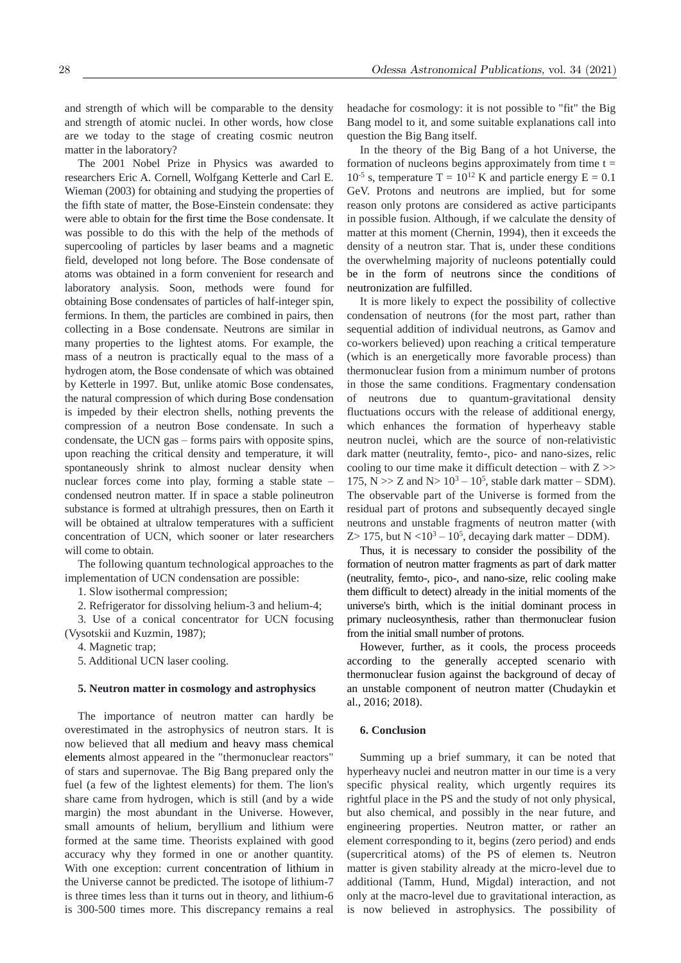and strength of which will be comparable to the density and strength of atomic nuclei. In other words, how close are we today to the stage of creating cosmic neutron matter in the laboratory?

The 2001 Nobel Prize in Physics was awarded to researchers Eric A. Cornell, Wolfgang Ketterle and Carl E. Wieman (2003) for obtaining and studying the properties of the fifth state of matter, the Bose-Einstein condensate: they were able to obtain for the first time the Bose condensate. It was possible to do this with the help of the methods of supercooling of particles by laser beams and a magnetic field, developed not long before. The Bose condensate of atoms was obtained in a form convenient for research and laboratory analysis. Soon, methods were found for obtaining Bose condensates of particles of half-integer spin, fermions. In them, the particles are combined in pairs, then collecting in a Bose condensate. Neutrons are similar in many properties to the lightest atoms. For example, the mass of a neutron is practically equal to the mass of a hydrogen atom, the Bose condensate of which was obtained by Ketterle in 1997. But, unlike atomic Bose condensates, the natural compression of which during Bose condensation is impeded by their electron shells, nothing prevents the compression of a neutron Bose condensate. In such a condensate, the UCN gas – forms pairs with opposite spins, upon reaching the critical density and temperature, it will spontaneously shrink to almost nuclear density when nuclear forces come into play, forming a stable state – condensed neutron matter. If in space a stable polineutron substance is formed at ultrahigh pressures, then on Earth it will be obtained at ultralow temperatures with a sufficient concentration of UCN, which sooner or later researchers will come to obtain.

The following quantum technological approaches to the implementation of UCN condensation are possible:

1. Slow isothermal compression;

2. Refrigerator for dissolving helium-3 and helium-4;

3. Use of a conical concentrator for UCN focusing (Vysotskii and Kuzmin, 1987);

4. Magnetic trap;

5. Additional UCN laser cooling.

### **5. Neutron matter in cosmology and astrophysics**

The importance of neutron matter can hardly be overestimated in the astrophysics of neutron stars. It is now believed that all medium and heavy mass chemical elements almost appeared in the "thermonuclear reactors" of stars and supernovae. The Big Bang prepared only the fuel (a few of the lightest elements) for them. The lion's share came from hydrogen, which is still (and by a wide margin) the most abundant in the Universe. However, small amounts of helium, beryllium and lithium were formed at the same time. Theorists explained with good accuracy why they formed in one or another quantity. With one exception: current concentration of lithium in the Universe cannot be predicted. The isotope of lithium-7 is three times less than it turns out in theory, and lithium-6 is 300-500 times more. This discrepancy remains a real headache for cosmology: it is not possible to "fit" the Big Bang model to it, and some suitable explanations call into question the Big Bang itself.

In the theory of the Big Bang of a hot Universe, the formation of nucleons begins approximately from time  $t =$  $10^{-5}$  s, temperature T =  $10^{12}$  K and particle energy E = 0.1 GeV. Protons and neutrons are implied, but for some reason only protons are considered as active participants in possible fusion. Although, if we calculate the density of matter at this moment (Chernin, 1994), then it exceeds the density of a neutron star. That is, under these conditions the overwhelming majority of nucleons potentially could be in the form of neutrons since the conditions of neutronization are fulfilled.

It is more likely to expect the possibility of collective condensation of neutrons (for the most part, rather than sequential addition of individual neutrons, as Gamov and co-workers believed) upon reaching a critical temperature (which is an energetically more favorable process) than thermonuclear fusion from a minimum number of protons in those the same conditions. Fragmentary condensation of neutrons due to quantum-gravitational density fluctuations occurs with the release of additional energy, which enhances the formation of hyperheavy stable neutron nuclei, which are the source of non-relativistic dark matter (neutrality, femto-, pico- and nano-sizes, relic cooling to our time make it difficult detection – with  $Z \gg$ 175, N  $>> Z$  and N $> 10^3 - 10^5$ , stable dark matter  $-$  SDM). The observable part of the Universe is formed from the residual part of protons and subsequently decayed single neutrons and unstable fragments of neutron matter (with  $Z> 175$ , but  $N < 10<sup>3</sup> - 10<sup>5</sup>$ , decaying dark matter – DDM).

Thus, it is necessary to consider the possibility of the formation of neutron matter fragments as part of dark matter (neutrality, femto-, pico-, and nano-size, relic cooling make them difficult to detect) already in the initial moments of the universe's birth, which is the initial dominant process in primary nucleosynthesis, rather than thermonuclear fusion from the initial small number of protons.

However, further, as it cools, the process proceeds according to the generally accepted scenario with thermonuclear fusion against the background of decay of an unstable component of neutron matter (Chudaykin et al., 2016; 2018).

## **6. Conclusion**

Summing up a brief summary, it can be noted that hyperheavy nuclei and neutron matter in our time is a very specific physical reality, which urgently requires its rightful place in the PS and the study of not only physical, but also chemical, and possibly in the near future, and engineering properties. Neutron matter, or rather an element corresponding to it, begins (zero period) and ends (supercritical atoms) of the PS of elemen ts. Neutron matter is given stability already at the micro-level due to additional (Tamm, Hund, Migdal) interaction, and not only at the macro-level due to gravitational interaction, as is now believed in astrophysics. The possibility of